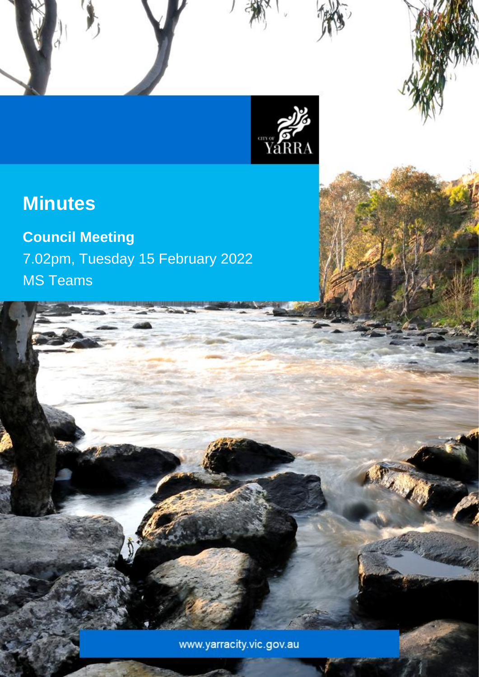

Council Meeting Minutes – 15 February 2022

# **Minutes**

**Council Meeting** 7.02pm, Tuesday 15 February 2022 MS Teams

www.yarracity.vic.gov.au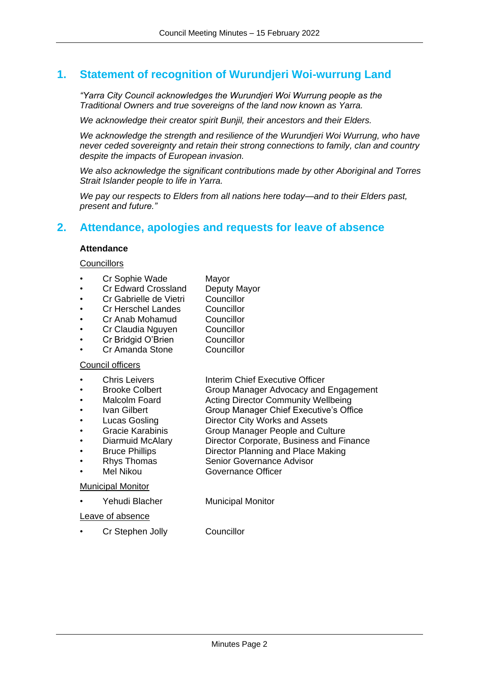## **1. Statement of recognition of Wurundjeri Woi-wurrung Land**

*"Yarra City Council acknowledges the Wurundjeri Woi Wurrung people as the Traditional Owners and true sovereigns of the land now known as Yarra.*

*We acknowledge their creator spirit Bunjil, their ancestors and their Elders.*

*We acknowledge the strength and resilience of the Wurundjeri Woi Wurrung, who have never ceded sovereignty and retain their strong connections to family, clan and country despite the impacts of European invasion.*

*We also acknowledge the significant contributions made by other Aboriginal and Torres Strait Islander people to life in Yarra.*

*We pay our respects to Elders from all nations here today—and to their Elders past, present and future."*

## **2. Attendance, apologies and requests for leave of absence**

#### **Attendance**

#### **Councillors**

- Cr Sophie Wade Mayor
- Cr Edward Crossland Deputy Mayor
- Cr Gabrielle de Vietri Councillor
- Cr Herschel Landes Councillor
- Cr Anab Mohamud Councillor
- Cr Claudia Nguyen Councillor
	- Cr Bridgid O'Brien Councillor
- Cr Amanda Stone Councillor

#### Council officers

- **Chris Leivers Interim Chief Executive Officer**
- Brooke Colbert Group Manager Advocacy and Engagement
- Malcolm Foard **Acting Director Community Wellbeing**
- Ivan Gilbert Group Manager Chief Executive's Office
- Lucas Gosling Director City Works and Assets
- Gracie Karabinis Group Manager People and Culture
- Diarmuid McAlary Director Corporate, Business and Finance
- Bruce Phillips Director Planning and Place Making
- Rhys Thomas Senior Governance Advisor
- Mel Nikou Governance Officer

#### Municipal Monitor

Yehudi Blacher Municipal Monitor

Leave of absence

Cr Stephen Jolly Councillor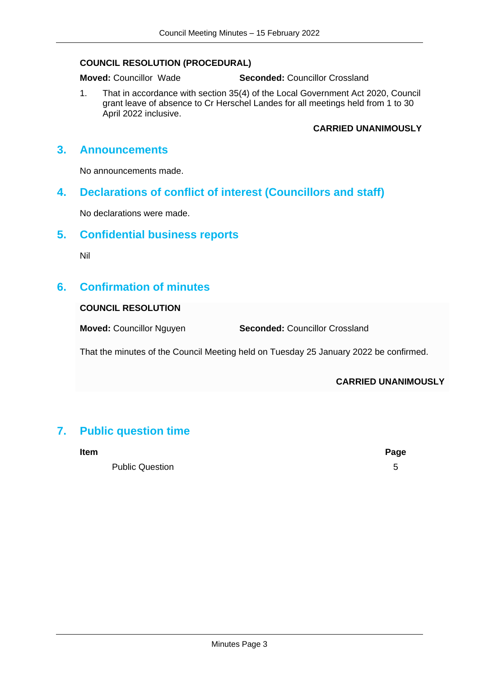#### **COUNCIL RESOLUTION (PROCEDURAL)**

**Moved:** Councillor Wade **Seconded:** Councillor Crossland

1. That in accordance with section 35(4) of the Local Government Act 2020, Council grant leave of absence to Cr Herschel Landes for all meetings held from 1 to 30 April 2022 inclusive.

#### **CARRIED UNANIMOUSLY**

## **3. Announcements**

No announcements made.

## **4. Declarations of conflict of interest (Councillors and staff)**

No declarations were made.

## **5. Confidential business reports**

Nil

## **6. Confirmation of minutes**

#### **COUNCIL RESOLUTION**

**Moved:** Councillor Nguyen **Seconded:** Councillor Crossland

That the minutes of the Council Meeting held on Tuesday 25 January 2022 be confirmed.

#### **CARRIED UNANIMOUSLY**

## **7. Public question time**

Public Question 5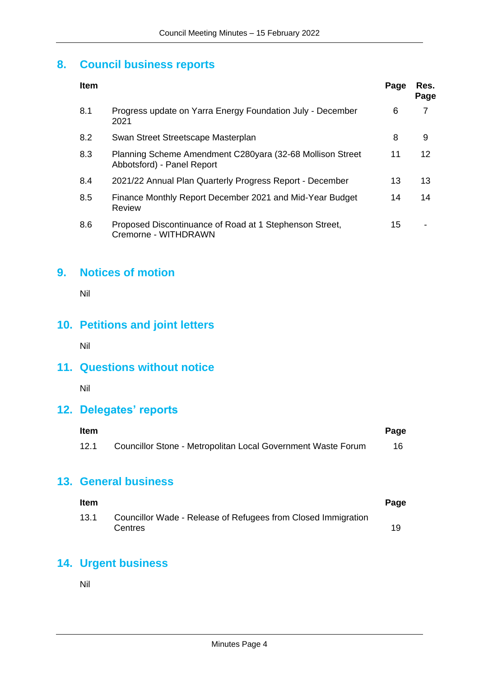## **8. Council business reports**

| <b>Item</b> |                                                                                         | Page | Res.<br>Page |
|-------------|-----------------------------------------------------------------------------------------|------|--------------|
| 8.1         | Progress update on Yarra Energy Foundation July - December<br>2021                      | 6    | 7            |
| 8.2         | Swan Street Streetscape Masterplan                                                      | 8    | 9            |
| 8.3         | Planning Scheme Amendment C280yara (32-68 Mollison Street<br>Abbotsford) - Panel Report | 11   | 12           |
| 8.4         | 2021/22 Annual Plan Quarterly Progress Report - December                                | 13   | 13           |
| 8.5         | Finance Monthly Report December 2021 and Mid-Year Budget<br><b>Review</b>               | 14   | 14           |
| 8.6         | Proposed Discontinuance of Road at 1 Stephenson Street,<br>Cremorne - WITHDRAWN         | 15   |              |

## **9. Notices of motion**

Nil

## **10. Petitions and joint letters**

Nil

## **11. Questions without notice**

Nil

## **12. Delegates' reports**

| <b>Item</b> |                                                              | Page |
|-------------|--------------------------------------------------------------|------|
| 12.1        | Councillor Stone - Metropolitan Local Government Waste Forum |      |

## **13. General business**

| <b>Item</b> |                                                                          | Page |
|-------------|--------------------------------------------------------------------------|------|
| 13.1        | Councillor Wade - Release of Refugees from Closed Immigration<br>Centres |      |

## **14. Urgent business**

Nil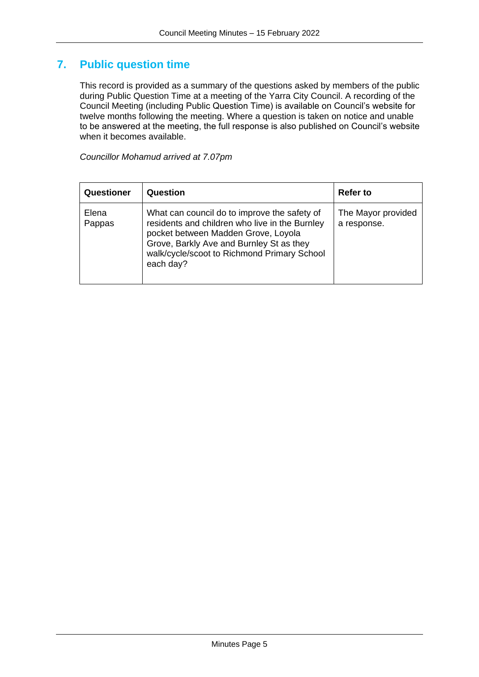## **7. Public question time**

This record is provided as a summary of the questions asked by members of the public during Public Question Time at a meeting of the Yarra City Council. A recording of the Council Meeting (including Public Question Time) is available on Council's website for twelve months following the meeting. Where a question is taken on notice and unable to be answered at the meeting, the full response is also published on Council's website when it becomes available.

*Councillor Mohamud arrived at 7.07pm*

<span id="page-4-0"></span>

| Questioner      | Question                                                                                                                                                                                                                                      | <b>Refer to</b>                   |
|-----------------|-----------------------------------------------------------------------------------------------------------------------------------------------------------------------------------------------------------------------------------------------|-----------------------------------|
| Elena<br>Pappas | What can council do to improve the safety of<br>residents and children who live in the Burnley<br>pocket between Madden Grove, Loyola<br>Grove, Barkly Ave and Burnley St as they<br>walk/cycle/scoot to Richmond Primary School<br>each day? | The Mayor provided<br>a response. |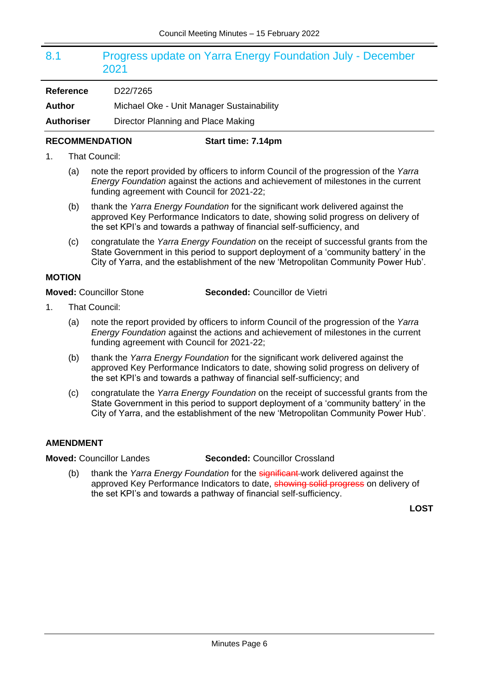## 8.1 Progress update on Yarra Energy Foundation July - December 2021

**Author** Michael Oke - Unit Manager Sustainability

**Authoriser** Director Planning and Place Making

#### **RECOMMENDATION Start time: 7.14pm**

- 1. That Council:
	- (a) note the report provided by officers to inform Council of the progression of the *Yarra Energy Foundation* against the actions and achievement of milestones in the current funding agreement with Council for 2021-22;
	- (b) thank the *Yarra Energy Foundation* for the significant work delivered against the approved Key Performance Indicators to date, showing solid progress on delivery of the set KPI's and towards a pathway of financial self-sufficiency, and
	- (c) congratulate the *Yarra Energy Foundation* on the receipt of successful grants from the State Government in this period to support deployment of a 'community battery' in the City of Yarra, and the establishment of the new 'Metropolitan Community Power Hub'.

#### **MOTION**

**Moved:** Councillor Stone **Seconded:** Councillor de Vietri

- 1. That Council:
	- (a) note the report provided by officers to inform Council of the progression of the *Yarra Energy Foundation* against the actions and achievement of milestones in the current funding agreement with Council for 2021-22;
	- (b) thank the *Yarra Energy Foundation* for the significant work delivered against the approved Key Performance Indicators to date, showing solid progress on delivery of the set KPI's and towards a pathway of financial self-sufficiency; and
	- (c) congratulate the *Yarra Energy Foundation* on the receipt of successful grants from the State Government in this period to support deployment of a 'community battery' in the City of Yarra, and the establishment of the new 'Metropolitan Community Power Hub'.

#### **AMENDMENT**

**Moved:** Councillor Landes **Seconded:** Councillor Crossland

(b) thank the *Yarra Energy Foundation* for the significant work delivered against the approved Key Performance Indicators to date, **showing solid progress** on delivery of the set KPI's and towards a pathway of financial self-sufficiency.

**LOST**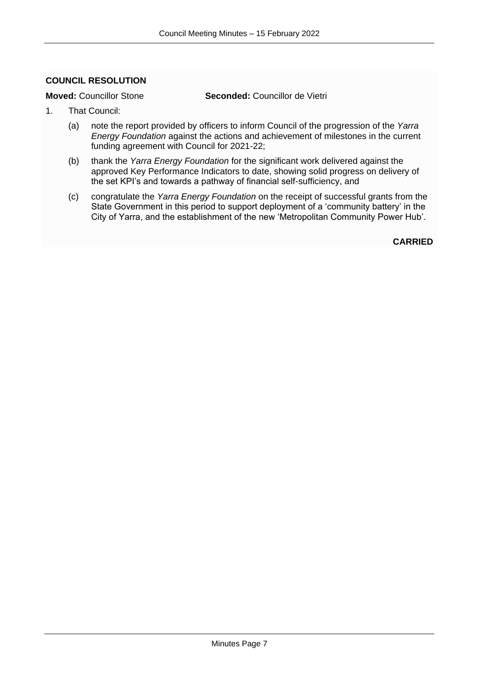#### <span id="page-6-0"></span>**COUNCIL RESOLUTION**

**Moved:** Councillor Stone **Seconded:** Councillor de Vietri

- 1. That Council:
	- (a) note the report provided by officers to inform Council of the progression of the *Yarra Energy Foundation* against the actions and achievement of milestones in the current funding agreement with Council for 2021-22;
	- (b) thank the *Yarra Energy Foundation* for the significant work delivered against the approved Key Performance Indicators to date, showing solid progress on delivery of the set KPI's and towards a pathway of financial self-sufficiency, and
	- (c) congratulate the *Yarra Energy Foundation* on the receipt of successful grants from the State Government in this period to support deployment of a 'community battery' in the City of Yarra, and the establishment of the new 'Metropolitan Community Power Hub'.

**CARRIED**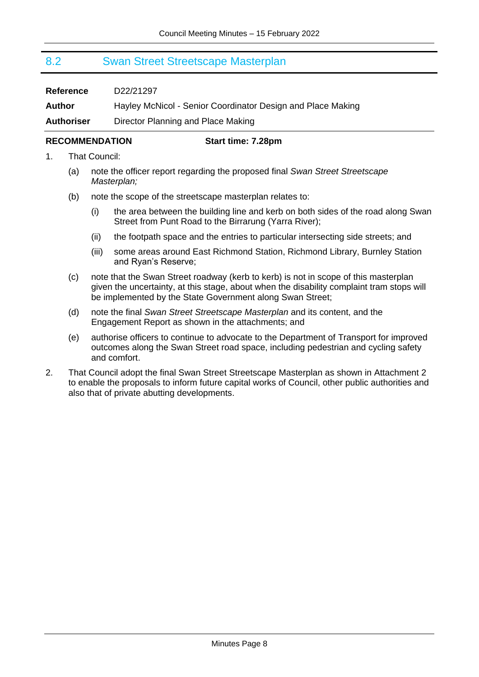### <span id="page-7-0"></span>8.2 Swan Street Streetscape Masterplan

| <b>Reference</b>  | D22/21297                                                   |
|-------------------|-------------------------------------------------------------|
| Author            | Hayley McNicol - Senior Coordinator Design and Place Making |
| <b>Authoriser</b> | Director Planning and Place Making                          |

#### **RECOMMENDATION Start time: 7.28pm**

- 1. That Council:
	- (a) note the officer report regarding the proposed final *Swan Street Streetscape Masterplan;*
	- (b) note the scope of the streetscape masterplan relates to:
		- (i) the area between the building line and kerb on both sides of the road along Swan Street from Punt Road to the Birrarung (Yarra River);
		- (ii) the footpath space and the entries to particular intersecting side streets; and
		- (iii) some areas around East Richmond Station, Richmond Library, Burnley Station and Ryan's Reserve;
	- (c) note that the Swan Street roadway (kerb to kerb) is not in scope of this masterplan given the uncertainty, at this stage, about when the disability complaint tram stops will be implemented by the State Government along Swan Street;
	- (d) note the final *Swan Street Streetscape Masterplan* and its content, and the Engagement Report as shown in the attachments; and
	- (e) authorise officers to continue to advocate to the Department of Transport for improved outcomes along the Swan Street road space, including pedestrian and cycling safety and comfort.
- 2. That Council adopt the final Swan Street Streetscape Masterplan as shown in Attachment 2 to enable the proposals to inform future capital works of Council, other public authorities and also that of private abutting developments.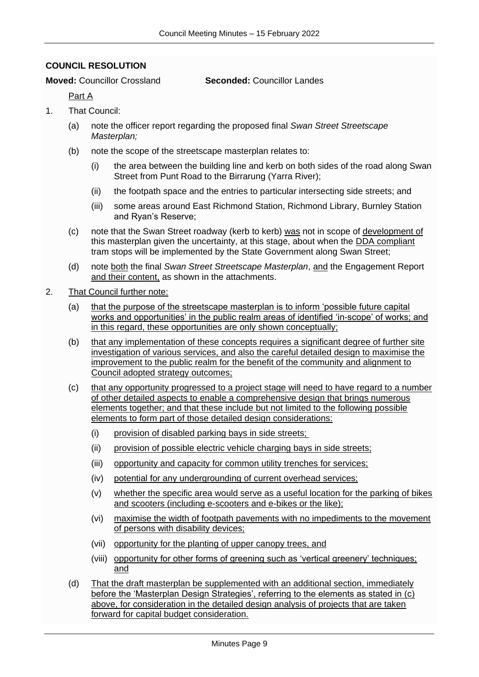#### <span id="page-8-0"></span>**COUNCIL RESOLUTION**

#### **Moved:** Councillor Crossland **Seconded:** Councillor Landes

Part A

- 1. That Council:
	- (a) note the officer report regarding the proposed final *Swan Street Streetscape Masterplan;*
	- (b) note the scope of the streetscape masterplan relates to:
		- (i) the area between the building line and kerb on both sides of the road along Swan Street from Punt Road to the Birrarung (Yarra River);
		- (ii) the footpath space and the entries to particular intersecting side streets; and
		- (iii) some areas around East Richmond Station, Richmond Library, Burnley Station and Ryan's Reserve;
	- (c) note that the Swan Street roadway (kerb to kerb) was not in scope of development of this masterplan given the uncertainty, at this stage, about when the DDA compliant tram stops will be implemented by the State Government along Swan Street;
	- (d) note both the final *Swan Street Streetscape Masterplan*, and the Engagement Report and their content, as shown in the attachments.
- 2. That Council further note:
	- (a) that the purpose of the streetscape masterplan is to inform 'possible future capital works and opportunities' in the public realm areas of identified 'in-scope' of works; and in this regard, these opportunities are only shown conceptually;
	- (b) that any implementation of these concepts requires a significant degree of further site investigation of various services, and also the careful detailed design to maximise the improvement to the public realm for the benefit of the community and alignment to Council adopted strategy outcomes;
	- (c) that any opportunity progressed to a project stage will need to have regard to a number of other detailed aspects to enable a comprehensive design that brings numerous elements together; and that these include but not limited to the following possible elements to form part of those detailed design considerations:
		- (i) provision of disabled parking bays in side streets;
		- (ii) provision of possible electric vehicle charging bays in side streets;
		- (iii) opportunity and capacity for common utility trenches for services;
		- (iv) potential for any undergrounding of current overhead services;
		- (v) whether the specific area would serve as a useful location for the parking of bikes and scooters (including e-scooters and e-bikes or the like);
		- (vi) maximise the width of footpath pavements with no impediments to the movement of persons with disability devices;
		- (vii) opportunity for the planting of upper canopy trees, and
		- (viii) opportunity for other forms of greening such as 'vertical greenery' techniques; and
	- (d) That the draft masterplan be supplemented with an additional section, immediately before the 'Masterplan Design Strategies', referring to the elements as stated in (c) above, for consideration in the detailed design analysis of projects that are taken forward for capital budget consideration.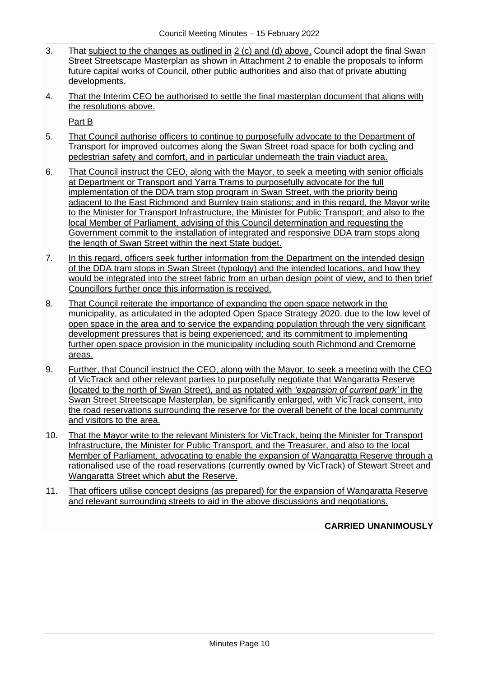- 3. That subject to the changes as outlined in 2 (c) and (d) above, Council adopt the final Swan Street Streetscape Masterplan as shown in Attachment 2 to enable the proposals to inform future capital works of Council, other public authorities and also that of private abutting developments.
- 4. That the Interim CEO be authorised to settle the final masterplan document that aligns with the resolutions above.

Part B

- 5. That Council authorise officers to continue to purposefully advocate to the Department of Transport for improved outcomes along the Swan Street road space for both cycling and pedestrian safety and comfort, and in particular underneath the train viaduct area.
- 6. That Council instruct the CEO, along with the Mayor, to seek a meeting with senior officials at Department or Transport and Yarra Trams to purposefully advocate for the full implementation of the DDA tram stop program in Swan Street, with the priority being adjacent to the East Richmond and Burnley train stations; and in this regard, the Mayor write to the Minister for Transport Infrastructure, the Minister for Public Transport; and also to the local Member of Parliament, advising of this Council determination and requesting the Government commit to the installation of integrated and responsive DDA tram stops along the length of Swan Street within the next State budget.
- 7. In this regard, officers seek further information from the Department on the intended design of the DDA tram stops in Swan Street (typology) and the intended locations, and how they would be integrated into the street fabric from an urban design point of view, and to then brief Councillors further once this information is received.
- 8. That Council reiterate the importance of expanding the open space network in the municipality, as articulated in the adopted Open Space Strategy 2020, due to the low level of open space in the area and to service the expanding population through the very significant development pressures that is being experienced; and its commitment to implementing further open space provision in the municipality including south Richmond and Cremorne areas.
- 9. Further, that Council instruct the CEO, along with the Mayor, to seek a meeting with the CEO of VicTrack and other relevant parties to purposefully negotiate that Wangaratta Reserve (located to the north of Swan Street), and as notated with *'expansion of current park'* in the Swan Street Streetscape Masterplan, be significantly enlarged, with VicTrack consent, into the road reservations surrounding the reserve for the overall benefit of the local community and visitors to the area.
- 10. That the Mayor write to the relevant Ministers for VicTrack, being the Minister for Transport Infrastructure, the Minister for Public Transport, and the Treasurer, and also to the local Member of Parliament, advocating to enable the expansion of Wangaratta Reserve through a rationalised use of the road reservations (currently owned by VicTrack) of Stewart Street and Wangaratta Street which abut the Reserve.
- 11. That officers utilise concept designs (as prepared) for the expansion of Wangaratta Reserve and relevant surrounding streets to aid in the above discussions and negotiations.

**CARRIED UNANIMOUSLY**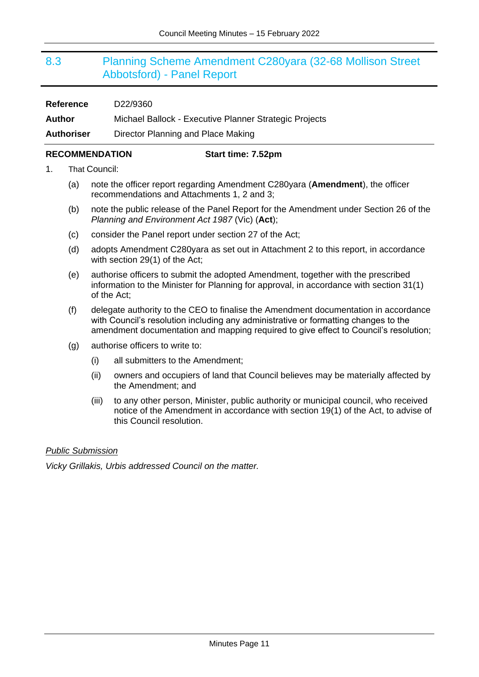## <span id="page-10-0"></span>8.3 Planning Scheme Amendment C280yara (32-68 Mollison Street Abbotsford) - Panel Report

| <b>Reference</b>  | D22/9360                                               |
|-------------------|--------------------------------------------------------|
| Author            | Michael Ballock - Executive Planner Strategic Projects |
| <b>Authoriser</b> | Director Planning and Place Making                     |

#### **RECOMMENDATION Start time: 7.52pm**

1. That Council:

- (a) note the officer report regarding Amendment C280yara (**Amendment**), the officer recommendations and Attachments 1, 2 and 3;
- (b) note the public release of the Panel Report for the Amendment under Section 26 of the *Planning and Environment Act 1987* (Vic) (**Act**);
- (c) consider the Panel report under section 27 of the Act;
- (d) adopts Amendment C280yara as set out in Attachment 2 to this report, in accordance with section 29(1) of the Act;
- (e) authorise officers to submit the adopted Amendment, together with the prescribed information to the Minister for Planning for approval, in accordance with section 31(1) of the Act;
- (f) delegate authority to the CEO to finalise the Amendment documentation in accordance with Council's resolution including any administrative or formatting changes to the amendment documentation and mapping required to give effect to Council's resolution;
- (g) authorise officers to write to:
	- (i) all submitters to the Amendment;
	- (ii) owners and occupiers of land that Council believes may be materially affected by the Amendment; and
	- (iii) to any other person, Minister, public authority or municipal council, who received notice of the Amendment in accordance with section 19(1) of the Act, to advise of this Council resolution.

#### *Public Submission*

*Vicky Grillakis, Urbis addressed Council on the matter.*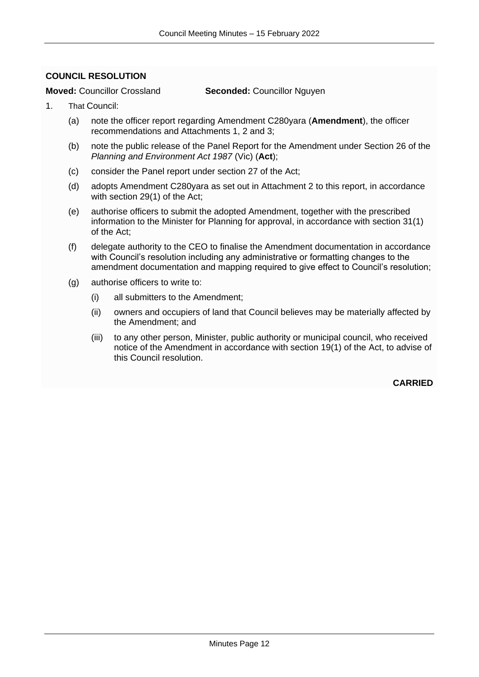#### <span id="page-11-0"></span>**COUNCIL RESOLUTION**

#### **Moved:** Councillor Crossland **Seconded:** Councillor Nguyen

- 1. That Council:
	- (a) note the officer report regarding Amendment C280yara (**Amendment**), the officer recommendations and Attachments 1, 2 and 3;
	- (b) note the public release of the Panel Report for the Amendment under Section 26 of the *Planning and Environment Act 1987* (Vic) (**Act**);
	- (c) consider the Panel report under section 27 of the Act;
	- (d) adopts Amendment C280yara as set out in Attachment 2 to this report, in accordance with section 29(1) of the Act;
	- (e) authorise officers to submit the adopted Amendment, together with the prescribed information to the Minister for Planning for approval, in accordance with section 31(1) of the Act;
	- (f) delegate authority to the CEO to finalise the Amendment documentation in accordance with Council's resolution including any administrative or formatting changes to the amendment documentation and mapping required to give effect to Council's resolution;
	- (g) authorise officers to write to:
		- (i) all submitters to the Amendment;
		- (ii) owners and occupiers of land that Council believes may be materially affected by the Amendment; and
		- (iii) to any other person, Minister, public authority or municipal council, who received notice of the Amendment in accordance with section 19(1) of the Act, to advise of this Council resolution.

**CARRIED**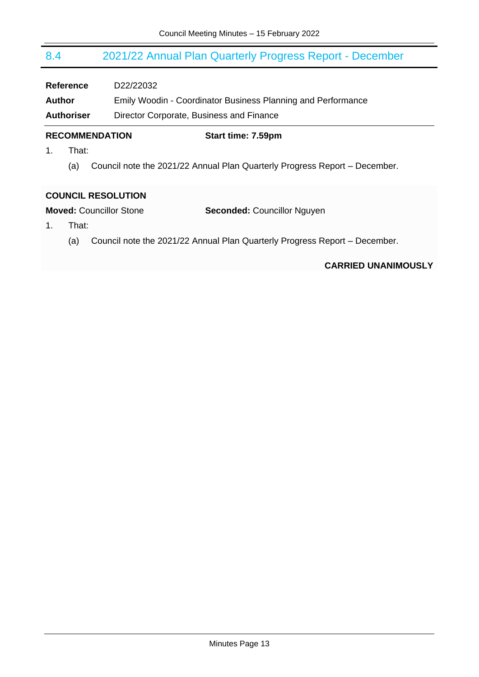## <span id="page-12-0"></span>8.4 2021/22 Annual Plan Quarterly Progress Report - December

**Reference** D22/22032

**Author** Emily Woodin - Coordinator Business Planning and Performance **Authoriser** Director Corporate, Business and Finance

#### **RECOMMENDATION Start time: 7.59pm**

- 1. That:
	- (a) Council note the 2021/22 Annual Plan Quarterly Progress Report December.

#### <span id="page-12-1"></span>**COUNCIL RESOLUTION**

**Moved:** Councillor Stone **Seconded:** Councillor Nguyen

- 1. That:
	- (a) Council note the 2021/22 Annual Plan Quarterly Progress Report December.

#### **CARRIED UNANIMOUSLY**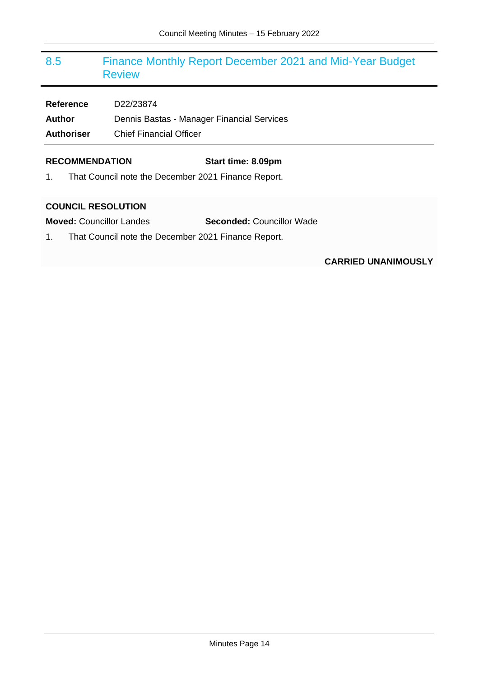## <span id="page-13-0"></span>8.5 Finance Monthly Report December 2021 and Mid-Year Budget Review

**Reference** D22/23874 Author **Dennis Bastas - Manager Financial Services Authoriser** Chief Financial Officer

#### **RECOMMENDATION Start time: 8.09pm**

1. That Council note the December 2021 Finance Report.

#### <span id="page-13-1"></span>**COUNCIL RESOLUTION**

**Moved:** Councillor Landes **Seconded:** Councillor Wade

1. That Council note the December 2021 Finance Report.

### **CARRIED UNANIMOUSLY**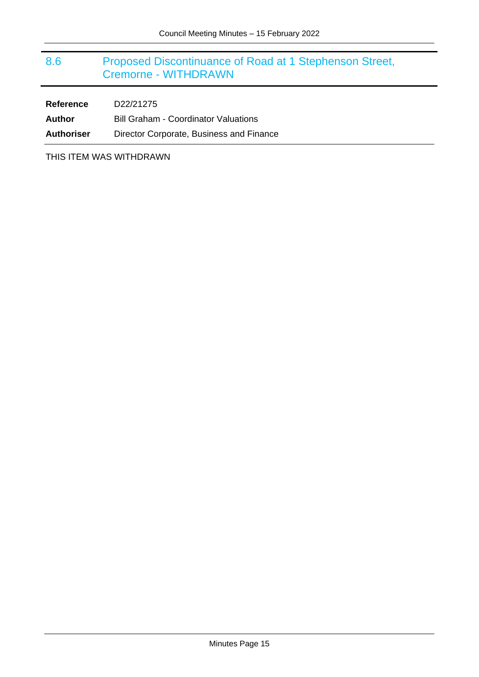## <span id="page-14-0"></span>8.6 Proposed Discontinuance of Road at 1 Stephenson Street, Cremorne - WITHDRAWN

| <b>Reference</b>  | D22/21275                                   |
|-------------------|---------------------------------------------|
| Author            | <b>Bill Graham - Coordinator Valuations</b> |
| <b>Authoriser</b> | Director Corporate, Business and Finance    |

THIS ITEM WAS WITHDRAWN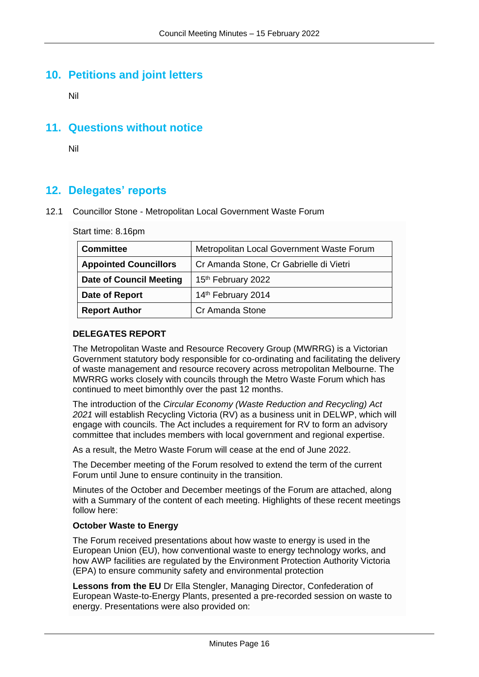## **10. Petitions and joint letters**

Nil

## **11. Questions without notice**

Nil

## **12. Delegates' reports**

#### 12.1 Councillor Stone - Metropolitan Local Government Waste Forum

Start time: 8.16pm

| <b>Committee</b>               | Metropolitan Local Government Waste Forum |
|--------------------------------|-------------------------------------------|
| <b>Appointed Councillors</b>   | Cr Amanda Stone, Cr Gabrielle di Vietri   |
| <b>Date of Council Meeting</b> | 15 <sup>th</sup> February 2022            |
| Date of Report                 | 14th February 2014                        |
| <b>Report Author</b>           | Cr Amanda Stone                           |

#### **DELEGATES REPORT**

The Metropolitan Waste and Resource Recovery Group (MWRRG) is a Victorian Government statutory body responsible for co-ordinating and facilitating the delivery of waste management and resource recovery across metropolitan Melbourne. The MWRRG works closely with councils through the Metro Waste Forum which has continued to meet bimonthly over the past 12 months.

The introduction of the *Circular Economy (Waste Reduction and Recycling) Act 2021* will establish Recycling Victoria (RV) as a business unit in DELWP, which will engage with councils. The Act includes a requirement for RV to form an advisory committee that includes members with local government and regional expertise.

As a result, the Metro Waste Forum will cease at the end of June 2022.

The December meeting of the Forum resolved to extend the term of the current Forum until June to ensure continuity in the transition.

Minutes of the October and December meetings of the Forum are attached, along with a Summary of the content of each meeting. Highlights of these recent meetings follow here:

#### **October Waste to Energy**

The Forum received presentations about how waste to energy is used in the European Union (EU), how conventional waste to energy technology works, and how AWP facilities are regulated by the Environment Protection Authority Victoria (EPA) to ensure community safety and environmental protection

**Lessons from the EU** Dr Ella Stengler, Managing Director, Confederation of European Waste-to-Energy Plants, presented a pre-recorded session on waste to energy. Presentations were also provided on: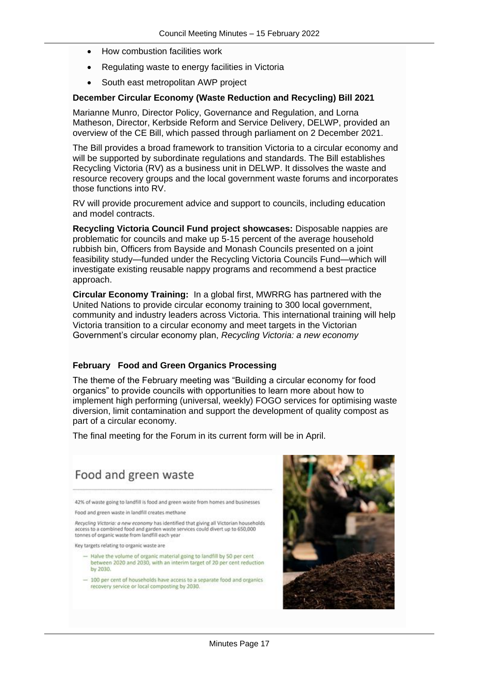- How combustion facilities work
- Regulating waste to energy facilities in Victoria
- South east metropolitan AWP project

#### **December Circular Economy (Waste Reduction and Recycling) Bill 2021**

Marianne Munro, Director Policy, Governance and Regulation, and Lorna Matheson, Director, Kerbside Reform and Service Delivery, DELWP, provided an overview of the CE Bill, which passed through parliament on 2 December 2021.

The Bill provides a broad framework to transition Victoria to a circular economy and will be supported by subordinate regulations and standards. The Bill establishes Recycling Victoria (RV) as a business unit in DELWP. It dissolves the waste and resource recovery groups and the local government waste forums and incorporates those functions into RV.

RV will provide procurement advice and support to councils, including education and model contracts.

**Recycling Victoria Council Fund project showcases:** Disposable nappies are problematic for councils and make up 5-15 percent of the average household rubbish bin, Officers from Bayside and Monash Councils presented on a joint feasibility study—funded under the Recycling Victoria Councils Fund—which will investigate existing reusable nappy programs and recommend a best practice approach.

**Circular Economy Training:** In a global first, MWRRG has partnered with the United Nations to provide circular economy training to 300 local government, community and industry leaders across Victoria. This international training will help Victoria transition to a circular economy and meet targets in the Victorian Government's circular economy plan, *Recycling Victoria: a new economy*

#### **February Food and Green Organics Processing**

The theme of the February meeting was "Building a circular economy for food organics" to provide councils with opportunities to learn more about how to implement high performing (universal, weekly) FOGO services for optimising waste diversion, limit contamination and support the development of quality compost as part of a circular economy.

The final meeting for the Forum in its current form will be in April.



<sup>- 100</sup> per cent of households have access to a separate food and organics recovery service or local composting by 2030.

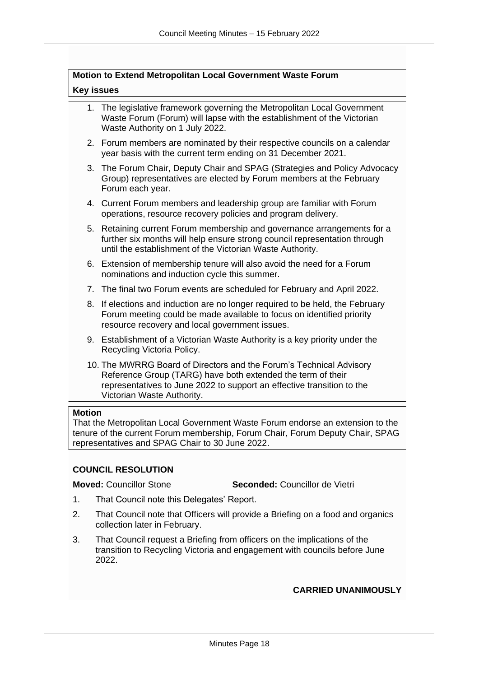#### **Motion to Extend Metropolitan Local Government Waste Forum**

#### **Key issues**

- 1. The legislative framework governing the Metropolitan Local Government Waste Forum (Forum) will lapse with the establishment of the Victorian Waste Authority on 1 July 2022.
- 2. Forum members are nominated by their respective councils on a calendar year basis with the current term ending on 31 December 2021.
- 3. The Forum Chair, Deputy Chair and SPAG (Strategies and Policy Advocacy Group) representatives are elected by Forum members at the February Forum each year.
- 4. Current Forum members and leadership group are familiar with Forum operations, resource recovery policies and program delivery.
- 5. Retaining current Forum membership and governance arrangements for a further six months will help ensure strong council representation through until the establishment of the Victorian Waste Authority.
- 6. Extension of membership tenure will also avoid the need for a Forum nominations and induction cycle this summer.
- 7. The final two Forum events are scheduled for February and April 2022.
- 8. If elections and induction are no longer required to be held, the February Forum meeting could be made available to focus on identified priority resource recovery and local government issues.
- 9. Establishment of a Victorian Waste Authority is a key priority under the Recycling Victoria Policy.
- 10. The MWRRG Board of Directors and the Forum's Technical Advisory Reference Group (TARG) have both extended the term of their representatives to June 2022 to support an effective transition to the Victorian Waste Authority.

#### **Motion**

That the Metropolitan Local Government Waste Forum endorse an extension to the tenure of the current Forum membership, Forum Chair, Forum Deputy Chair, SPAG representatives and SPAG Chair to 30 June 2022.

#### **COUNCIL RESOLUTION**

**Moved:** Councillor Stone **Seconded:** Councillor de Vietri

- 1. That Council note this Delegates' Report.
- 2. That Council note that Officers will provide a Briefing on a food and organics collection later in February.
- 3. That Council request a Briefing from officers on the implications of the transition to Recycling Victoria and engagement with councils before June 2022.

#### **CARRIED UNANIMOUSLY**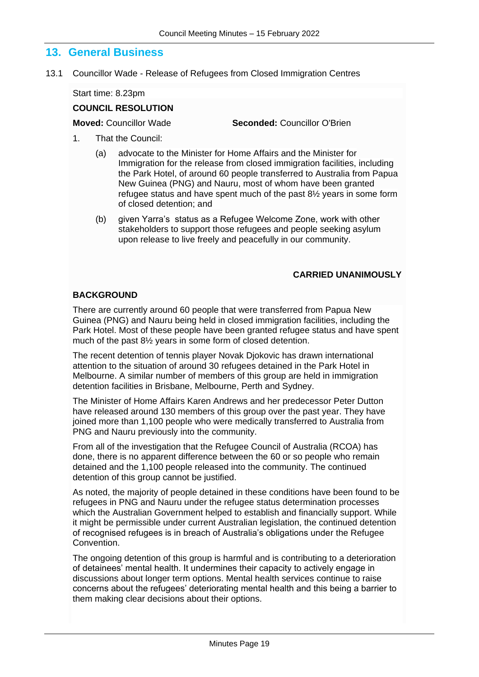### **13. General Business**

13.1 Councillor Wade - Release of Refugees from Closed Immigration Centres

Start time: 8.23pm

### **COUNCIL RESOLUTION**

**Moved:** Councillor Wade **Seconded:** Councillor O'Brien

- 1. That the Council:
	- (a) advocate to the Minister for Home Affairs and the Minister for Immigration for the release from closed immigration facilities, including the Park Hotel, of around 60 people transferred to Australia from Papua New Guinea (PNG) and Nauru, most of whom have been granted refugee status and have spent much of the past 8½ years in some form of closed detention; and
	- (b) given Yarra's status as a Refugee Welcome Zone, work with other stakeholders to support those refugees and people seeking asylum upon release to live freely and peacefully in our community.

#### **CARRIED UNANIMOUSLY**

#### **BACKGROUND**

There are currently around 60 people that were transferred from Papua New Guinea (PNG) and Nauru being held in closed immigration facilities, including the Park Hotel. Most of these people have been granted refugee status and have spent much of the past 8½ years in some form of closed detention.

The recent detention of tennis player Novak Djokovic has drawn international attention to the situation of around 30 refugees detained in the Park Hotel in Melbourne. A similar number of members of this group are held in immigration detention facilities in Brisbane, Melbourne, Perth and Sydney.

The Minister of Home Affairs Karen Andrews and her predecessor Peter Dutton have released around 130 members of this group over the past year. They have joined more than 1,100 people who were medically transferred to Australia from PNG and Nauru previously into the community.

From all of the investigation that the Refugee Council of Australia (RCOA) has done, there is no apparent difference between the 60 or so people who remain detained and the 1,100 people released into the community. The continued detention of this group cannot be justified.

As noted, the majority of people detained in these conditions have been found to be refugees in PNG and Nauru under the refugee status determination processes which the Australian Government helped to establish and financially support. While it might be permissible under current Australian legislation, the continued detention of recognised refugees is in breach of Australia's obligations under the Refugee Convention.

The ongoing detention of this group is harmful and is contributing to a deterioration of detainees' mental health. It undermines their capacity to actively engage in discussions about longer term options. Mental health services continue to raise concerns about the refugees' deteriorating mental health and this being a barrier to them making clear decisions about their options.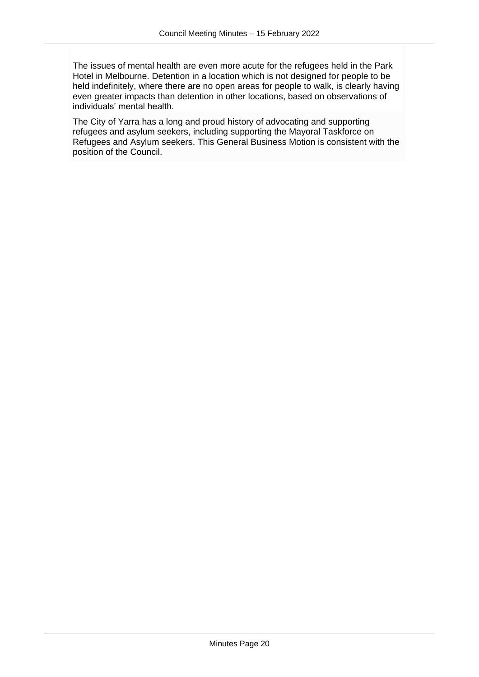The issues of mental health are even more acute for the refugees held in the Park Hotel in Melbourne. Detention in a location which is not designed for people to be held indefinitely, where there are no open areas for people to walk, is clearly having even greater impacts than detention in other locations, based on observations of individuals' mental health.

The City of Yarra has a long and proud history of advocating and supporting refugees and asylum seekers, including supporting the Mayoral Taskforce on Refugees and Asylum seekers. This General Business Motion is consistent with the position of the Council.